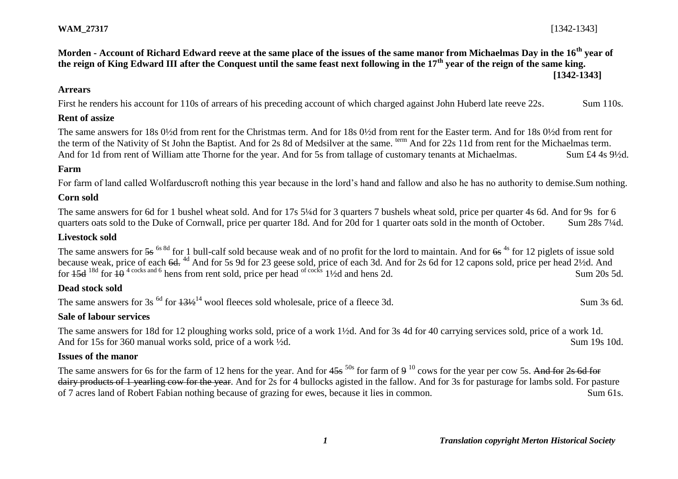## **Morden - Account of Richard Edward reeve at the same place of the issues of the same manor from Michaelmas Day in the 16th year of the reign of King Edward III after the Conquest until the same feast next following in the 17th year of the reign of the same king. [1342-1343]**

### **Arrears**

First he renders his account for 110s of arrears of his preceding account of which charged against John Huberd late reeve 22s. Sum 110s.

## **Rent of assize**

The same answers for 18s 0½d from rent for the Christmas term. And for 18s 0½d from rent for the Easter term. And for 18s 0½d from rent for the term of the Nativity of St John the Baptist. And for 2s 8d of Medsilver at the same. <sup>term</sup> And for 22s 11d from rent for the Michaelmas term. And for 1d from rent of William atte Thorne for the year. And for 5s from tallage of customary tenants at Michaelmas. Sum £4 4s 9<sup>1</sup>/2d.

# **Farm**

For farm of land called Wolfarduscroft nothing this year because in the lord's hand and fallow and also he has no authority to demise.Sum nothing.

### **Corn sold**

The same answers for 6d for 1 bushel wheat sold. And for 17s 5¼d for 3 quarters 7 bushels wheat sold, price per quarter 4s 6d. And for 9s for 6 quarters oats sold to the Duke of Cornwall, price per quarter 18d. And for 20d for 1 quarter oats sold in the month of October. Sum 28s 7¼d.

# **Livestock sold**

The same answers for  $5s^{6s}$ <sup>6s 8d</sup> for 1 bull-calf sold because weak and of no profit for the lord to maintain. And for  $6s^{4s}$  for 12 piglets of issue sold because weak, price of each 6d. <sup>4d</sup> And for 5s 9d for 23 geese sold, price of each 3d. And for 2s 6d for 12 capons sold, price per head 2½d. And for  $15d^{18d}$  for  $10^{4}$  cocks and 6 hens from rent sold, price per head <sup>of cocks</sup> 1½d and hens 2d. Sum 20s 5d.

## **Dead stock sold**

The same answers for  $3s^{6d}$  for  $13\frac{1}{2}^{14}$  wool fleeces sold wholesale, price of a fleece 3d. Sum 3s 6d.

## **Sale of labour services**

The same answers for 18d for 12 ploughing works sold, price of a work 1½d. And for 3s 4d for 40 carrying services sold, price of a work 1d. And for 15s for 360 manual works sold, price of a work  $\frac{1}{2}d$ . Sum 19s 10d.

### **Issues of the manor**

The same answers for 6s for the farm of 12 hens for the year. And for  $45s^{50s}$  for farm of  $9^{10}$  cows for the year per cow 5s. And for 2s 6d for dairy products of 1 yearling cow for the year. And for 2s for 4 bullocks agisted in the fallow. And for 3s for pasturage for lambs sold. For pasture of 7 acres land of Robert Fabian nothing because of grazing for ewes, because it lies in common. Sum 61s.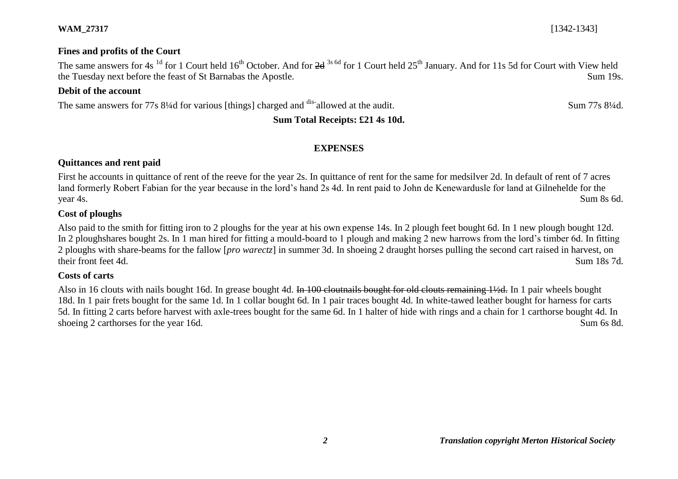## **Fines and profits of the Court**

The same answers for 4s<sup>1d</sup> for 1 Court held 16<sup>th</sup> October. And for 2d<sup>3s 6d</sup> for 1 Court held 25<sup>th</sup> January. And for 11s 5d for Court with View held the Tuesday next before the feast of St Barnabas the Apostle. Sum 19s.

## **Debit of the account**

The same answers for 77s 8¼d for various [things] charged and <sup>dis-</sup>allowed at the audit. Sum 77s 8¼d.

# **Sum Total Receipts: £21 4s 10d.**

### **EXPENSES**

## **Quittances and rent paid**

First he accounts in quittance of rent of the reeve for the year 2s. In quittance of rent for the same for medsilver 2d. In default of rent of 7 acres land formerly Robert Fabian for the year because in the lord's hand 2s 4d. In rent paid to John de Kenewardusle for land at Gilnehelde for the year 4s. Sum 8s 6d.

#### **Cost of ploughs**

Also paid to the smith for fitting iron to 2 ploughs for the year at his own expense 14s. In 2 plough feet bought 6d. In 1 new plough bought 12d. In 2 ploughshares bought 2s. In 1 man hired for fitting a mould-board to 1 plough and making 2 new harrows from the lord's timber 6d. In fitting 2 ploughs with share-beams for the fallow [*pro warectz*] in summer 3d. In shoeing 2 draught horses pulling the second cart raised in harvest, on their front feet 4d. Sum 18s 7d.

#### **Costs of carts**

Also in 16 clouts with nails bought 16d. In grease bought 4d. In 100 cloutnails bought for old clouts remaining 1½d. In 1 pair wheels bought 18d. In 1 pair frets bought for the same 1d. In 1 collar bought 6d. In 1 pair traces bought 4d. In white-tawed leather bought for harness for carts 5d. In fitting 2 carts before harvest with axle-trees bought for the same 6d. In 1 halter of hide with rings and a chain for 1 carthorse bought 4d. In shoeing 2 carthorses for the year 16d. Sum 6s 8d.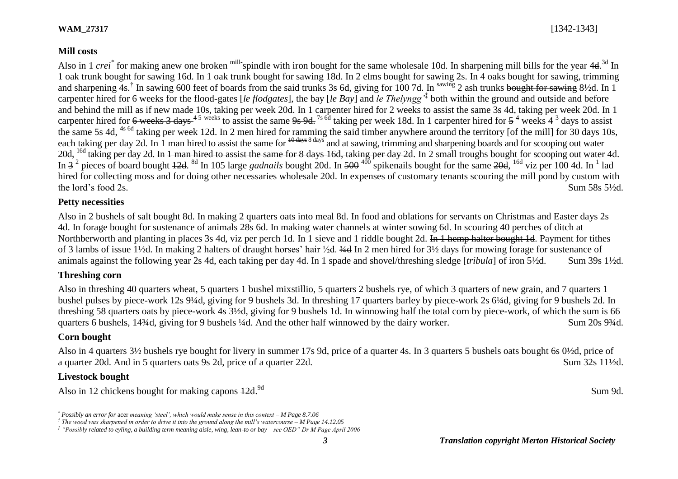#### **Mill costs**

Also in 1 *crei*<sup>\*</sup> for making anew one broken <sup>mill-</sup>spindle with iron bought for the same wholesale 10d. In sharpening mill bills for the year 4d.<sup>3d</sup> In 1 oak trunk bought for sawing 16d. In 1 oak trunk bought for sawing 18d. In 2 elms bought for sawing 2s. In 4 oaks bought for sawing, trimming and sharpening 4s.<sup>†</sup> In sawing 600 feet of boards from the said trunks 3s 6d, giving for 100 7d. In <sup>sawing</sup> 2 ash trunks bought for sawing 8½d. In 1 carpenter hired for 6 weeks for the flood-gates [*le flodgates*], the bay [*le Bay*] and *le Thelyngg'*‡ both within the ground and outside and before and behind the mill as if new made 10s, taking per week 20d. In 1 carpenter hired for 2 weeks to assist the same 3s 4d, taking per week 20d. In 1 carpenter hired for 6 weeks 3 days<sup>45</sup> weeks to assist the same 9s 9d.<sup>7s 6d</sup> taking per week 18d. In 1 carpenter hired for  $5^4$  weeks 4<sup>3</sup> days to assist the same  $\frac{5}{55}$  4d, <sup>4s 6d</sup> taking per week 12d. In 2 men hired for ramming the said timber anywhere around the territory [of the mill] for 30 days 10s, each taking per day 2d. In 1 man hired to assist the same for  $\frac{10 \text{ days}}{2}$  and at sawing, trimming and sharpening boards and for scooping out water 20d, <sup>16d</sup> taking per day 2d. In 1 man hired to assist the same for 8 days 16d, taking per day 2d. In 2 small troughs bought for scooping out water 4d. In 3<sup>2</sup> pieces of board bought 42d. <sup>8d</sup> In 105 large *gadnails* bought 20d. In 500<sup>400</sup> spikenails bought for the same 20d, <sup>16d</sup> viz per 100 4d. In <sup>1</sup> lad hired for collecting moss and for doing other necessaries wholesale 20d. In expenses of customary tenants scouring the mill pond by custom with the lord's food 2s. Sum 58s  $5\frac{1}{2}d$ .

#### **Petty necessities**

Also in 2 bushels of salt bought 8d. In making 2 quarters oats into meal 8d. In food and oblations for servants on Christmas and Easter days 2s 4d. In forage bought for sustenance of animals 28s 6d. In making water channels at winter sowing 6d. In scouring 40 perches of ditch at Northberworth and planting in places 3s 4d, viz per perch 1d. In 1 sieve and 1 riddle bought 2d. In 1 hemp halter bought 1d. Payment for tithes of 3 lambs of issue 1½d. In making 2 halters of draught horses' hair ½d. ¾d In 2 men hired for 3½ days for mowing forage for sustenance of animals against the following year 2s 4d, each taking per day 4d. In 1 spade and shovel/threshing sledge [*tribula*] of iron 5½d. Sum 39s 1½d.

### **Threshing corn**

Also in threshing 40 quarters wheat, 5 quarters 1 bushel mixstillio, 5 quarters 2 bushels rye, of which 3 quarters of new grain, and 7 quarters 1 bushel pulses by piece-work 12s 9¼d, giving for 9 bushels 3d. In threshing 17 quarters barley by piece-work 2s 6¼d, giving for 9 bushels 2d. In threshing 58 quarters oats by piece-work 4s 3½d, giving for 9 bushels 1d. In winnowing half the total corn by piece-work, of which the sum is 66 quarters 6 bushels, 14¼d, giving for 9 bushels ¼d. And the other half winnowed by the dairy worker. Sum 20s 9¾d.

#### **Corn bought**

 $\overline{a}$ 

Also in 4 quarters 3½ bushels rye bought for livery in summer 17s 9d, price of a quarter 4s. In 3 quarters 5 bushels oats bought 6s 0½d, price of a quarter 20d. And in 5 quarters oats 9s 2d, price of a quarter 22d. Sum 32s 11½d.

#### **Livestock bought**

Also in 12 chickens bought for making capons  $12d$ . <sup>9d</sup> <sup>9d</sup> Sum 9d.

*<sup>\*</sup> Possibly an error for* acer *meaning 'steel', which would make sense in this context – M Page 8.7.06*

*<sup>†</sup> The wood was sharpened in order to drive it into the ground along the mill's watercourse – M Page 14.12.05*

*<sup>‡</sup> "Possibly related to eyling, a building term meaning aisle, wing, lean-to or bay – see OED" Dr M Page April 2006*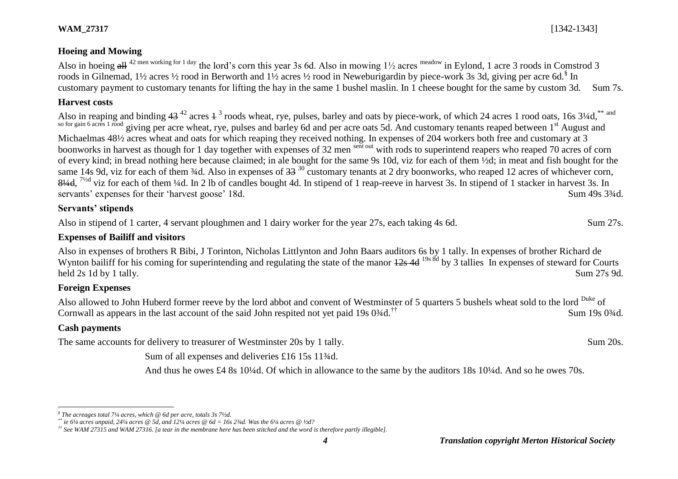Also in hoeing all <sup>42 men working for 1 day</sup> the lord's corn this year 3s 6d. Also in mowing  $1\frac{1}{2}$  acres meadow in Eylond, 1 acre 3 roods in Comstrod 3 roods in Gilnemad, 1½ acres ½ rood in Berworth and 1½ acres ½ rood in Neweburigardin by piece-work 3s 3d, giving per acre 6d.<sup>§</sup> In customary payment to customary tenants for lifting the hay in the same 1 bushel maslin. In 1 cheese bought for the same by custom 3d. Sum 7s.

## **Harvest costs**

Also in reaping and binding  $43^{42}$  acres  $4^3$  roods wheat, rye, pulses, barley and oats by piece-work, of which 24 acres 1 rood oats, 16s  $3\frac{1}{4}$ d, \*\* and so for gain 6 acres 1 rood giving per acre wheat, rye, pulses and barley 6d and per acre oats 5d. And customary tenants reaped between 1<sup>st</sup> August and Michaelmas 48½ acres wheat and oats for which reaping they received nothing. In expenses of 204 workers both free and customary at 3 boonworks in harvest as though for 1 day together with expenses of 32 men sent out with rods to superintend reapers who reaped 70 acres of corn of every kind; in bread nothing here because claimed; in ale bought for the same 9s 10d, viz for each of them ½d; in meat and fish bought for the same 14s 9d, viz for each of them  $\frac{3}{4}$ d. Also in expenses of  $\frac{33}{4}$ <sup>30</sup> customary tenants at 2 dry boonworks, who reaped 12 acres of whichever corn,  $8\frac{1}{4}$ d, <sup>7/2d</sup> viz for each of them ¼d. In 2 lb of candles bought 4d. In stipend of 1 reap-reeve in harvest 3s. In stipend of 1 stacker in harvest 3s. In servants' expenses for their 'harvest goose' 18d. Sum 49s 3<sup>3</sup>/4d.

## **Servants' stipends**

Also in stipend of 1 carter, 4 servant ploughmen and 1 dairy worker for the year 27s, each taking 4s 6d. Sum 27s.

# **Expenses of Bailiff and visitors**

Also in expenses of brothers R Bibi, J Torinton, Nicholas Littlynton and John Baars auditors 6s by 1 tally. In expenses of brother Richard de Wynton bailiff for his coming for superintending and regulating the state of the manor  $\frac{12s}{4}$  and  $\frac{19s}{8d}$  by 3 tallies In expenses of steward for Courts held 2s 1d by 1 tally. Sum 27s 9d.

# **Foreign Expenses**

Also allowed to John Huberd former reeve by the lord abbot and convent of Westminster of 5 quarters 5 bushels wheat sold to the lord <sup>Duke</sup> of Cornwall as appears in the last account of the said John respited not yet paid 19s  $0\frac{3}{4}d$ .<sup>††</sup> Sum 19s 0 $\frac{3}{4}d$ .

# **Cash payments**

The same accounts for delivery to treasurer of Westminster 20s by 1 tally. Sum 20s.

Sum of all expenses and deliveries £16 15s 11<sup>3</sup>/<sub>4</sub>d.

And thus he owes £4 8s 10¼d. Of which in allowance to the same by the auditors 18s 10¼d. And so he owes 70s.

 $\overline{a}$ *§ The acreages total 7¼ acres, which @ 6d per acre, totals 3s 7½d.*

*<sup>\*\*</sup> ie 6¼ acres unpaid, 24¼ acres @ 5d, and 12¼ acres @ 6d = 16s 2¾d. Was the 6¼ acres @ ½d?*

*<sup>††</sup> See WAM 27315 and WAM 27316. [a tear in the membrane here has been stitched and the word is therefore partly illegible].*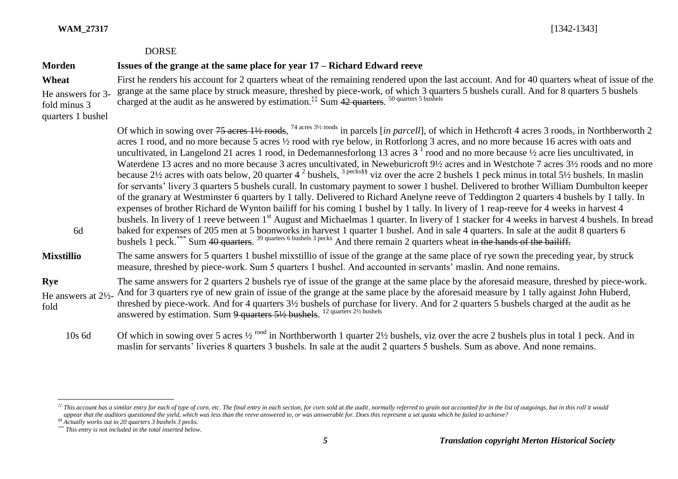|  | <b>WAM 27317</b> |
|--|------------------|
|  |                  |

|                                               | <b>DORSE</b>                                                                                                                                                                                                                                                                                                                                                                                                                                                                                                                                                                                                                                                                                                                                                                                                                                                                                                                                                                                                                                                                                                                                                                                                                                                                                                                                                                                                                                                                                                                                                                                                                                                           |
|-----------------------------------------------|------------------------------------------------------------------------------------------------------------------------------------------------------------------------------------------------------------------------------------------------------------------------------------------------------------------------------------------------------------------------------------------------------------------------------------------------------------------------------------------------------------------------------------------------------------------------------------------------------------------------------------------------------------------------------------------------------------------------------------------------------------------------------------------------------------------------------------------------------------------------------------------------------------------------------------------------------------------------------------------------------------------------------------------------------------------------------------------------------------------------------------------------------------------------------------------------------------------------------------------------------------------------------------------------------------------------------------------------------------------------------------------------------------------------------------------------------------------------------------------------------------------------------------------------------------------------------------------------------------------------------------------------------------------------|
| <b>Morden</b>                                 | Issues of the grange at the same place for year 17 – Richard Edward reeve                                                                                                                                                                                                                                                                                                                                                                                                                                                                                                                                                                                                                                                                                                                                                                                                                                                                                                                                                                                                                                                                                                                                                                                                                                                                                                                                                                                                                                                                                                                                                                                              |
| Wheat<br>He answers for 3-                    | First he renders his account for 2 quarters wheat of the remaining rendered upon the last account. And for 40 quarters wheat of issue of the<br>grange at the same place by struck measure, threshed by piece-work, of which 3 quarters 5 bushels curall. And for 8 quarters 5 bushels charged at the audit as he answered by estimation. <sup>##</sup> Sum 42 quarters. <sup>50 quarters 5 b</sup>                                                                                                                                                                                                                                                                                                                                                                                                                                                                                                                                                                                                                                                                                                                                                                                                                                                                                                                                                                                                                                                                                                                                                                                                                                                                    |
| fold minus 3<br>quarters 1 bushel             |                                                                                                                                                                                                                                                                                                                                                                                                                                                                                                                                                                                                                                                                                                                                                                                                                                                                                                                                                                                                                                                                                                                                                                                                                                                                                                                                                                                                                                                                                                                                                                                                                                                                        |
| 6d                                            | Of which in sowing over $75$ acres $1\frac{1}{2}$ roods, <sup>74 acres 31/2</sup> roods in parcels [in parcell], of which in Hethcroft 4 acres 3 roods, in Northberworth 2<br>acres 1 rood, and no more because 5 acres 1/2 rood with rye below, in Rotforlong 3 acres, and no more because 16 acres with oats and<br>uncultivated, in Langelond 21 acres 1 rood, in Dedemannesforlong 13 acres $31$ rood and no more because $\frac{1}{2}$ acre lies uncultivated, in<br>Waterdene 13 acres and no more because 3 acres uncultivated, in Neweburicroft 9½ acres and in Westchote 7 acres 3½ roods and no more<br>because 2½ acres with oats below, 20 quarter 4 <sup>2</sup> bushels, <sup>3 pecks§§</sup> viz over the acre 2 bushels 1 peck minus in total 5½ bushels. In maslin<br>for servants' livery 3 quarters 5 bushels curall. In customary payment to sower 1 bushel. Delivered to brother William Dumbulton keeper<br>of the granary at Westminster 6 quarters by 1 tally. Delivered to Richard Anelyne reeve of Teddington 2 quarters 4 bushels by 1 tally. In<br>expenses of brother Richard de Wynton bailiff for his coming 1 bushel by 1 tally. In livery of 1 reap-reeve for 4 weeks in harvest 4<br>bushels. In livery of 1 reeve between 1 <sup>st</sup> August and Michaelmas 1 quarter. In livery of 1 stacker for 4 weeks in harvest 4 bushels. In bread<br>baked for expenses of 205 men at 5 boonworks in harvest 1 quarter 1 bushel. And in sale 4 quarters. In sale at the audit 8 quarters 6<br>bushels 1 peck. ""Sum 40 quarters. <sup>39 quarters 6 bushels 3 pecks</sup> And there remain 2 quarters wheat in the hands of the bailiff. |
| <b>Mixstillio</b>                             | The same answers for 5 quarters 1 bushel mixstillio of issue of the grange at the same place of rye sown the preceding year, by struck<br>measure, threshed by piece-work. Sum 5 quarters 1 bushel. And accounted in servants' maslin. And none remains.                                                                                                                                                                                                                                                                                                                                                                                                                                                                                                                                                                                                                                                                                                                                                                                                                                                                                                                                                                                                                                                                                                                                                                                                                                                                                                                                                                                                               |
| Rye<br>He answers at $2\frac{1}{2}$ -<br>fold | The same answers for 2 quarters 2 bushels rye of issue of the grange at the same place by the aforesaid measure, threshed by piece-work.<br>And for 3 quarters rye of new grain of issue of the grange at the same place by the aforesaid measure by 1 tally against John Huberd,<br>threshed by piece-work. And for 4 quarters 3½ bushels of purchase for livery. And for 2 quarters 5 bushels charged at the audit as he<br>answered by estimation. Sum 9 quarters 51/2 bushels. <sup>12 quarters 21/2</sup> bushels                                                                                                                                                                                                                                                                                                                                                                                                                                                                                                                                                                                                                                                                                                                                                                                                                                                                                                                                                                                                                                                                                                                                                 |
| $10s$ 6d                                      | Of which in sowing over 5 acres $\frac{1}{2}$ rood in Northberworth 1 quarter 2½ bushels, viz over the acre 2 bushels plus in total 1 peck. And in                                                                                                                                                                                                                                                                                                                                                                                                                                                                                                                                                                                                                                                                                                                                                                                                                                                                                                                                                                                                                                                                                                                                                                                                                                                                                                                                                                                                                                                                                                                     |

maslin for servants' liveries 8 quarters 3 bushels. In sale at the audit 2 quarters 5 bushels. Sum as above. And none remains.

l

<sup>#</sup> This account has a similar entry for each of type of corn, etc. The final entry in each section, for corn sold at the audit, normally referred to grain not accounted for in the list of outgoings, but in this roll it woul *appear that the auditors questioned the yield, which was less than the reeve answered to, or was answerable for. Does this represent a set quota which he failed to achieve?*

*<sup>§§</sup> Actually works out to 20 quarters 3 bushels 3 pecks.*

*<sup>\*\*\*</sup> This entry is not included in the total inserted below.*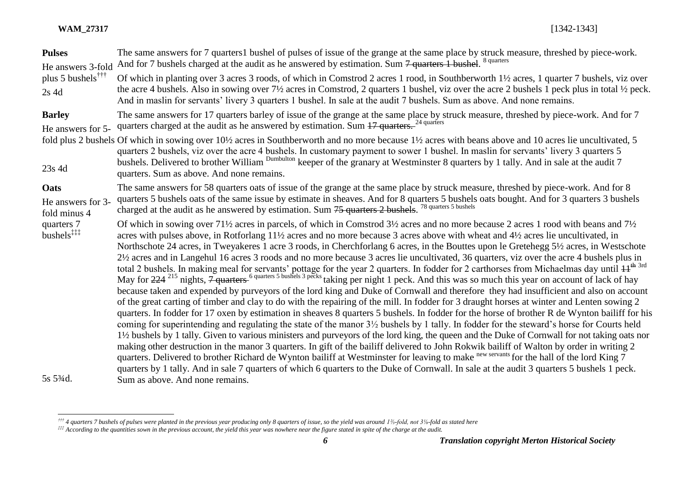l

| <b>Pulses</b><br>He answers 3-fold        | The same answers for 7 quarters1 bushel of pulses of issue of the grange at the same place by struck measure, threshed by piece-work.<br>And for 7 bushels charged at the audit as he answered by estimation. Sum 7 quarters 1 bushel. <sup>8 quarters</sup>                                                                                                                                                                                                                                                                                                                                                                                                                                                                                                                                                                                                                                                                                                                                                                                                                                                                                                                                                                                                                                                                                                                                                                                                                                                                                                                                                                                                                                                                                                                                                                                                                                                                                                                                                                                                                                           |
|-------------------------------------------|--------------------------------------------------------------------------------------------------------------------------------------------------------------------------------------------------------------------------------------------------------------------------------------------------------------------------------------------------------------------------------------------------------------------------------------------------------------------------------------------------------------------------------------------------------------------------------------------------------------------------------------------------------------------------------------------------------------------------------------------------------------------------------------------------------------------------------------------------------------------------------------------------------------------------------------------------------------------------------------------------------------------------------------------------------------------------------------------------------------------------------------------------------------------------------------------------------------------------------------------------------------------------------------------------------------------------------------------------------------------------------------------------------------------------------------------------------------------------------------------------------------------------------------------------------------------------------------------------------------------------------------------------------------------------------------------------------------------------------------------------------------------------------------------------------------------------------------------------------------------------------------------------------------------------------------------------------------------------------------------------------------------------------------------------------------------------------------------------------|
| plus 5 bushels <sup>†††</sup><br>$2s$ 4d  | Of which in planting over 3 acres 3 roods, of which in Comstrod 2 acres 1 rood, in Southberworth 1½ acres, 1 quarter 7 bushels, viz over<br>the acre 4 bushels. Also in sowing over $7\frac{1}{2}$ acres in Comstrod, 2 quarters 1 bushel, viz over the acre 2 bushels 1 peck plus in total $\frac{1}{2}$ peck.<br>And in maslin for servants' livery 3 quarters 1 bushel. In sale at the audit 7 bushels. Sum as above. And none remains.                                                                                                                                                                                                                                                                                                                                                                                                                                                                                                                                                                                                                                                                                                                                                                                                                                                                                                                                                                                                                                                                                                                                                                                                                                                                                                                                                                                                                                                                                                                                                                                                                                                             |
| <b>Barley</b><br>He answers for 5-        | The same answers for 17 quarters barley of issue of the grange at the same place by struck measure, threshed by piece-work. And for 7<br>quarters charged at the audit as he answered by estimation. Sum 17 quarters. <sup>24 quarters</sup>                                                                                                                                                                                                                                                                                                                                                                                                                                                                                                                                                                                                                                                                                                                                                                                                                                                                                                                                                                                                                                                                                                                                                                                                                                                                                                                                                                                                                                                                                                                                                                                                                                                                                                                                                                                                                                                           |
| 23s 4d                                    | fold plus 2 bushels Of which in sowing over 10½ acres in Southberworth and no more because 1½ acres with beans above and 10 acres lie uncultivated, 5<br>quarters 2 bushels, viz over the acre 4 bushels. In customary payment to sower 1 bushel. In maslin for servants' livery 3 quarters 5<br>bushels. Delivered to brother William <sup>Dumbulton</sup> keeper of the granary at Westminster 8 quarters by 1 tally. And in sale at the audit 7<br>quarters. Sum as above. And none remains.                                                                                                                                                                                                                                                                                                                                                                                                                                                                                                                                                                                                                                                                                                                                                                                                                                                                                                                                                                                                                                                                                                                                                                                                                                                                                                                                                                                                                                                                                                                                                                                                        |
| Oats<br>He answers for 3-<br>fold minus 4 | The same answers for 58 quarters oats of issue of the grange at the same place by struck measure, threshed by piece-work. And for 8<br>quarters 5 bushels oats of the same issue by estimate in sheaves. And for 8 quarters 5 bushels oats bought. And for 3 quarters 3 bushels<br>charged at the audit as he answered by estimation. Sum 75 quarters 2 bushels. <sup>78 quarters 5 bushels</sup>                                                                                                                                                                                                                                                                                                                                                                                                                                                                                                                                                                                                                                                                                                                                                                                                                                                                                                                                                                                                                                                                                                                                                                                                                                                                                                                                                                                                                                                                                                                                                                                                                                                                                                      |
| quarters 7<br>bushels <sup>‡‡‡†</sup>     | Of which in sowing over 71½ acres in parcels, of which in Comstrod $3\frac{1}{2}$ acres and no more because 2 acres 1 rood with beans and $7\frac{1}{2}$<br>acres with pulses above, in Rotforlang 11½ acres and no more because 3 acres above with wheat and 4½ acres lie uncultivated, in<br>Northschote 24 acres, in Tweyakeres 1 acre 3 roods, in Cherchforlang 6 acres, in the Bouttes upon le Gretehegg 5½ acres, in Westschote<br>2½ acres and in Langehul 16 acres 3 roods and no more because 3 acres lie uncultivated, 36 quarters, viz over the acre 4 bushels plus in<br>total 2 bushels. In making meal for servants' pottage for the year 2 quarters. In fodder for 2 carthorses from Michaelmas day until $H^{th}$ <sup>3rd</sup><br>May for 224 <sup>215</sup> nights, 7 quarters <sup>6 quarters 5 bushels 3 pecks</sup> taking per night 1 peck. And this was so much this year on account of lack of hay<br>because taken and expended by purveyors of the lord king and Duke of Cornwall and therefore they had insufficient and also on account<br>of the great carting of timber and clay to do with the repairing of the mill. In fodder for 3 draught horses at winter and Lenten sowing 2<br>quarters. In fodder for 17 oxen by estimation in sheaves 8 quarters 5 bushels. In fodder for the horse of brother R de Wynton bailiff for his<br>coming for superintending and regulating the state of the manor 3½ bushels by 1 tally. In fodder for the steward's horse for Courts held<br>1½ bushels by 1 tally. Given to various ministers and purveyors of the lord king, the queen and the Duke of Cornwall for not taking oats nor<br>making other destruction in the manor 3 quarters. In gift of the bailiff delivered to John Rokwik bailiff of Walton by order in writing 2<br>quarters. Delivered to brother Richard de Wynton bailiff at Westminster for leaving to make new servants for the hall of the lord King 7<br>quarters by 1 tally. And in sale 7 quarters of which 6 quarters to the Duke of Cornwall. In sale at the audit 3 quarters 5 bushels 1 peck. |
| 5s 53/4d.                                 | Sum as above. And none remains.                                                                                                                                                                                                                                                                                                                                                                                                                                                                                                                                                                                                                                                                                                                                                                                                                                                                                                                                                                                                                                                                                                                                                                                                                                                                                                                                                                                                                                                                                                                                                                                                                                                                                                                                                                                                                                                                                                                                                                                                                                                                        |

*<sup>†††</sup> 4 quarters 7 bushels of pulses were planted in the previous year producing only 8 quarters of issue, so the yield was around 1⅔-fold, not 3⅛-fold as stated here*

*<sup>‡‡‡</sup> According to the quantities sown in the previous account, the yield this year was nowhere near the figure stated in spite of the charge at the audit.*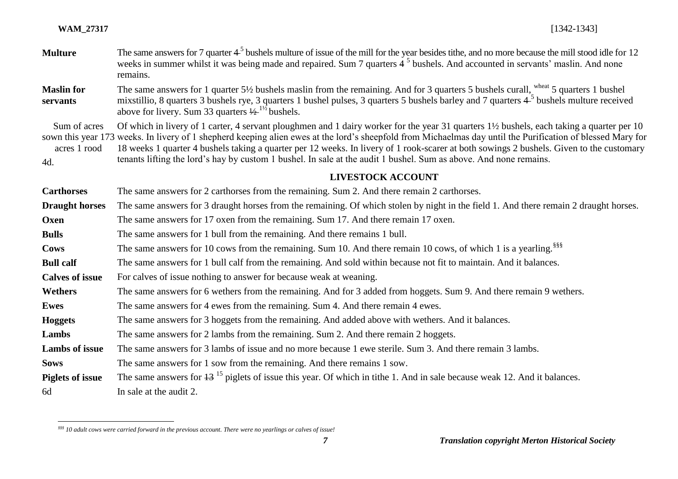$\overline{a}$ 

| <b>Multure</b>                      | The same answers for 7 quarter $45$ bushels multure of issue of the mill for the year besides tithe, and no more because the mill stood idle for 12<br>weeks in summer whilst it was being made and repaired. Sum 7 quarters 4 <sup>5</sup> bushels. And accounted in servants' maslin. And none<br>remains.<br>The same answers for 1 quarter 5 <sup>1</sup> / <sub>2</sub> bushels maslin from the remaining. And for 3 quarters 5 bushels curall, wheat 5 quarters 1 bushel<br>mixstillio, 8 quarters 3 bushels rye, 3 quarters 1 bushel pulses, 3 quarters 5 bushels barley and 7 quarters $45$ bushels multure received<br>above for livery. Sum 33 quarters $\frac{1}{2}^{1/2}$ bushels. |  |
|-------------------------------------|------------------------------------------------------------------------------------------------------------------------------------------------------------------------------------------------------------------------------------------------------------------------------------------------------------------------------------------------------------------------------------------------------------------------------------------------------------------------------------------------------------------------------------------------------------------------------------------------------------------------------------------------------------------------------------------------|--|
| <b>Maslin for</b><br>servants       |                                                                                                                                                                                                                                                                                                                                                                                                                                                                                                                                                                                                                                                                                                |  |
| Sum of acres<br>acres 1 rood<br>4d. | Of which in livery of 1 carter, 4 servant ploughmen and 1 dairy worker for the year 31 quarters 1½ bushels, each taking a quarter per 10<br>sown this year 173 weeks. In livery of 1 shepherd keeping alien ewes at the lord's sheepfold from Michaelmas day until the Purification of blessed Mary for<br>18 weeks 1 quarter 4 bushels taking a quarter per 12 weeks. In livery of 1 rook-scarer at both sowings 2 bushels. Given to the customary<br>tenants lifting the lord's hay by custom 1 bushel. In sale at the audit 1 bushel. Sum as above. And none remains.                                                                                                                       |  |
|                                     | <b>LIVESTOCK ACCOUNT</b>                                                                                                                                                                                                                                                                                                                                                                                                                                                                                                                                                                                                                                                                       |  |
| <b>Carthorses</b>                   | The same answers for 2 carthorses from the remaining. Sum 2. And there remain 2 carthorses.                                                                                                                                                                                                                                                                                                                                                                                                                                                                                                                                                                                                    |  |
| <b>Draught horses</b>               | The same answers for 3 draught horses from the remaining. Of which stolen by night in the field 1. And there remain 2 draught horses.                                                                                                                                                                                                                                                                                                                                                                                                                                                                                                                                                          |  |
| Oxen                                | The same answers for 17 oxen from the remaining. Sum 17. And there remain 17 oxen.                                                                                                                                                                                                                                                                                                                                                                                                                                                                                                                                                                                                             |  |
| <b>Bulls</b>                        | The same answers for 1 bull from the remaining. And there remains 1 bull.                                                                                                                                                                                                                                                                                                                                                                                                                                                                                                                                                                                                                      |  |
| Cows                                | The same answers for 10 cows from the remaining. Sum 10. And there remain 10 cows, of which 1 is a yearling. <sup>§§§</sup>                                                                                                                                                                                                                                                                                                                                                                                                                                                                                                                                                                    |  |
| <b>Bull calf</b>                    | The same answers for 1 bull calf from the remaining. And sold within because not fit to maintain. And it balances.                                                                                                                                                                                                                                                                                                                                                                                                                                                                                                                                                                             |  |
| <b>Calves of issue</b>              | For calves of issue nothing to answer for because weak at weaning.                                                                                                                                                                                                                                                                                                                                                                                                                                                                                                                                                                                                                             |  |
| <b>Wethers</b>                      | The same answers for 6 wethers from the remaining. And for 3 added from hoggets. Sum 9. And there remain 9 wethers.                                                                                                                                                                                                                                                                                                                                                                                                                                                                                                                                                                            |  |
| <b>Ewes</b>                         | The same answers for 4 ewes from the remaining. Sum 4. And there remain 4 ewes.                                                                                                                                                                                                                                                                                                                                                                                                                                                                                                                                                                                                                |  |
| <b>Hoggets</b>                      | The same answers for 3 hoggets from the remaining. And added above with wethers. And it balances.                                                                                                                                                                                                                                                                                                                                                                                                                                                                                                                                                                                              |  |
| Lambs                               | The same answers for 2 lambs from the remaining. Sum 2. And there remain 2 hoggets.                                                                                                                                                                                                                                                                                                                                                                                                                                                                                                                                                                                                            |  |
| <b>Lambs of issue</b>               | The same answers for 3 lambs of issue and no more because 1 ewe sterile. Sum 3. And there remain 3 lambs.                                                                                                                                                                                                                                                                                                                                                                                                                                                                                                                                                                                      |  |
| <b>Sows</b>                         | The same answers for 1 sow from the remaining. And there remains 1 sow.                                                                                                                                                                                                                                                                                                                                                                                                                                                                                                                                                                                                                        |  |
| <b>Piglets of issue</b>             | The same answers for $13^{15}$ piglets of issue this year. Of which in tithe 1. And in sale because weak 12. And it balances.                                                                                                                                                                                                                                                                                                                                                                                                                                                                                                                                                                  |  |
| 6d                                  | In sale at the audit 2.                                                                                                                                                                                                                                                                                                                                                                                                                                                                                                                                                                                                                                                                        |  |

*<sup>§§§</sup> 10 adult cows were carried forward in the previous account. There were no yearlings or calves of issue!*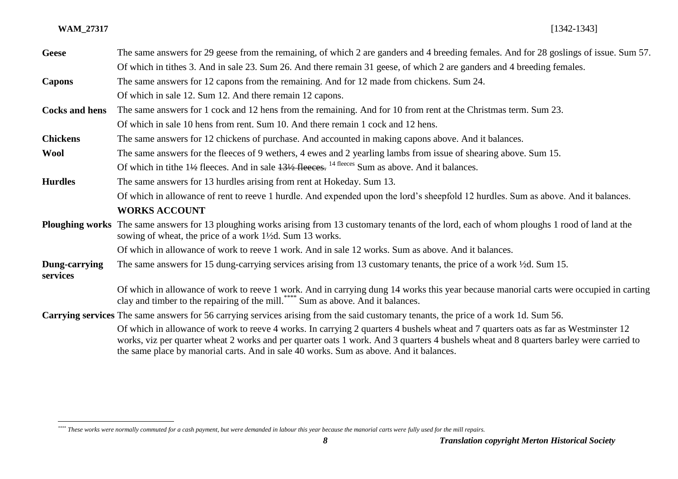| <b>Geese</b>                                                                                                                         | The same answers for 29 geese from the remaining, of which 2 are ganders and 4 breeding females. And for 28 goslings of issue. Sum 57.                                                                                                                                                                                                                                  |
|--------------------------------------------------------------------------------------------------------------------------------------|-------------------------------------------------------------------------------------------------------------------------------------------------------------------------------------------------------------------------------------------------------------------------------------------------------------------------------------------------------------------------|
|                                                                                                                                      | Of which in tithes 3. And in sale 23. Sum 26. And there remain 31 geese, of which 2 are ganders and 4 breeding females.                                                                                                                                                                                                                                                 |
| <b>Capons</b>                                                                                                                        | The same answers for 12 capons from the remaining. And for 12 made from chickens. Sum 24.                                                                                                                                                                                                                                                                               |
|                                                                                                                                      | Of which in sale 12. Sum 12. And there remain 12 capons.                                                                                                                                                                                                                                                                                                                |
| <b>Cocks and hens</b>                                                                                                                | The same answers for 1 cock and 12 hens from the remaining. And for 10 from rent at the Christmas term. Sum 23.                                                                                                                                                                                                                                                         |
|                                                                                                                                      | Of which in sale 10 hens from rent. Sum 10. And there remain 1 cock and 12 hens.                                                                                                                                                                                                                                                                                        |
| <b>Chickens</b>                                                                                                                      | The same answers for 12 chickens of purchase. And accounted in making capons above. And it balances.                                                                                                                                                                                                                                                                    |
| <b>Wool</b>                                                                                                                          | The same answers for the fleeces of 9 wethers, 4 ewes and 2 yearling lambs from issue of shearing above. Sum 15.                                                                                                                                                                                                                                                        |
|                                                                                                                                      | Of which in tithe $1\frac{1}{2}$ fleeces. And in sale $1\frac{31}{2}$ fleeces. <sup>14 fleeces</sup> Sum as above. And it balances.                                                                                                                                                                                                                                     |
| <b>Hurdles</b>                                                                                                                       | The same answers for 13 hurdles arising from rent at Hokeday. Sum 13.                                                                                                                                                                                                                                                                                                   |
|                                                                                                                                      | Of which in allowance of rent to reeve 1 hurdle. And expended upon the lord's sheepfold 12 hurdles. Sum as above. And it balances.                                                                                                                                                                                                                                      |
|                                                                                                                                      | <b>WORKS ACCOUNT</b>                                                                                                                                                                                                                                                                                                                                                    |
|                                                                                                                                      | <b>Ploughing works</b> The same answers for 13 ploughing works arising from 13 customary tenants of the lord, each of whom ploughs 1 rood of land at the<br>sowing of wheat, the price of a work 1 <sup>1</sup> / <sub>2</sub> d. Sum 13 works.                                                                                                                         |
|                                                                                                                                      | Of which in allowance of work to reeve 1 work. And in sale 12 works. Sum as above. And it balances.                                                                                                                                                                                                                                                                     |
| Dung-carrying<br>services                                                                                                            | The same answers for 15 dung-carrying services arising from 13 customary tenants, the price of a work ½d. Sum 15.                                                                                                                                                                                                                                                       |
|                                                                                                                                      | Of which in allowance of work to reeve 1 work. And in carrying dung 14 works this year because manorial carts were occupied in carting<br>clay and timber to the repairing of the mill. <sup>****</sup> Sum as above. And it balances.                                                                                                                                  |
| Carrying services The same answers for 56 carrying services arising from the said customary tenants, the price of a work 1d. Sum 56. |                                                                                                                                                                                                                                                                                                                                                                         |
|                                                                                                                                      | Of which in allowance of work to reeve 4 works. In carrying 2 quarters 4 bushels wheat and 7 quarters oats as far as Westminster 12<br>works, viz per quarter wheat 2 works and per quarter oats 1 work. And 3 quarters 4 bushels wheat and 8 quarters barley were carried to<br>the same place by manorial carts. And in sale 40 works. Sum as above. And it balances. |

 $\overline{a}$ *\*\*\*\* These works were normally commuted for a cash payment, but were demanded in labour this year because the manorial carts were fully used for the mill repairs.*